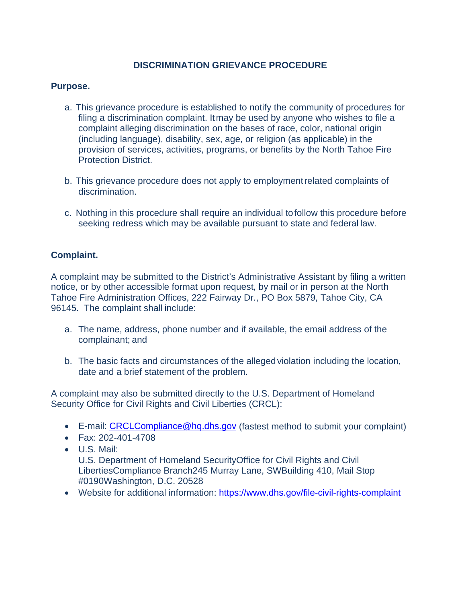# **DISCRIMINATION GRIEVANCE PROCEDURE**

## **Purpose.**

- a. This grievance procedure is established to notify the community of procedures for filing a discrimination complaint. Itmay be used by anyone who wishes to file a complaint alleging discrimination on the bases of race, color, national origin (including language), disability, sex, age, or religion (as applicable) in the provision of services, activities, programs, or benefits by the North Tahoe Fire Protection District.
- b. This grievance procedure does not apply to employmentrelated complaints of discrimination.
- c. Nothing in this procedure shall require an individual tofollow this procedure before seeking redress which may be available pursuant to state and federal law.

# **Complaint.**

A complaint may be submitted to the District's Administrative Assistant by filing a written notice, or by other accessible format upon request, by mail or in person at the North Tahoe Fire Administration Offices, 222 Fairway Dr., PO Box 5879, Tahoe City, CA 96145. The complaint shall include:

- a. The name, address, phone number and if available, the email address of the complainant; and
- b. The basic facts and circumstances of the allegedviolation including the location, date and a brief statement of the problem.

A complaint may also be submitted directly to the U.S. Department of Homeland Security Office for Civil Rights and Civil Liberties (CRCL):

- E-mail: [CRCLCompliance@hq.dhs.gov](mailto:CRCLCompliance@hq.dhs.gov) (fastest method to submit your complaint)
- Fax: 202-401-4708
- U.S. Mail:

U.S. Department of Homeland SecurityOffice for Civil Rights and Civil LibertiesCompliance Branch245 Murray Lane, SWBuilding 410, Mail Stop #0190Washington, D.C. 20528

• Website for additional information:<https://www.dhs.gov/file-civil-rights-complaint>